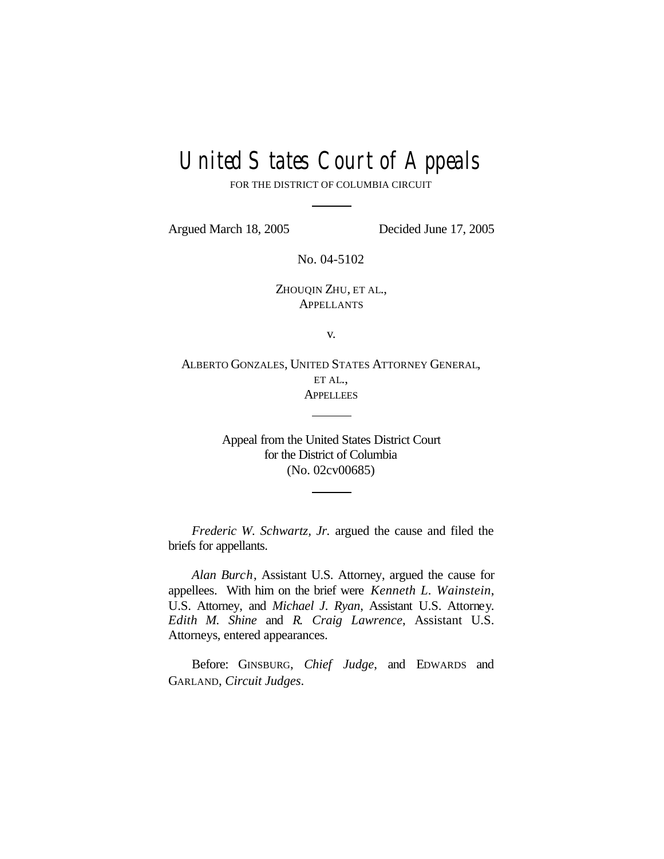# United States Court of Appeals

FOR THE DISTRICT OF COLUMBIA CIRCUIT

Argued March 18, 2005 Decided June 17, 2005

No. 04-5102

ZHOUQIN ZHU, ET AL., **APPELLANTS** 

v.

ALBERTO GONZALES, UNITED STATES ATTORNEY GENERAL, ET AL., **APPELLEES** 

> Appeal from the United States District Court for the District of Columbia (No. 02cv00685)

*Frederic W. Schwartz, Jr.* argued the cause and filed the briefs for appellants.

*Alan Burch*, Assistant U.S. Attorney, argued the cause for appellees. With him on the brief were *Kenneth L. Wainstein*, U.S. Attorney, and *Michael J. Ryan*, Assistant U.S. Attorney. *Edith M. Shine* and *R. Craig Lawrence*, Assistant U.S. Attorneys, entered appearances.

Before: GINSBURG, *Chief Judge*, and EDWARDS and GARLAND, *Circuit Judges*.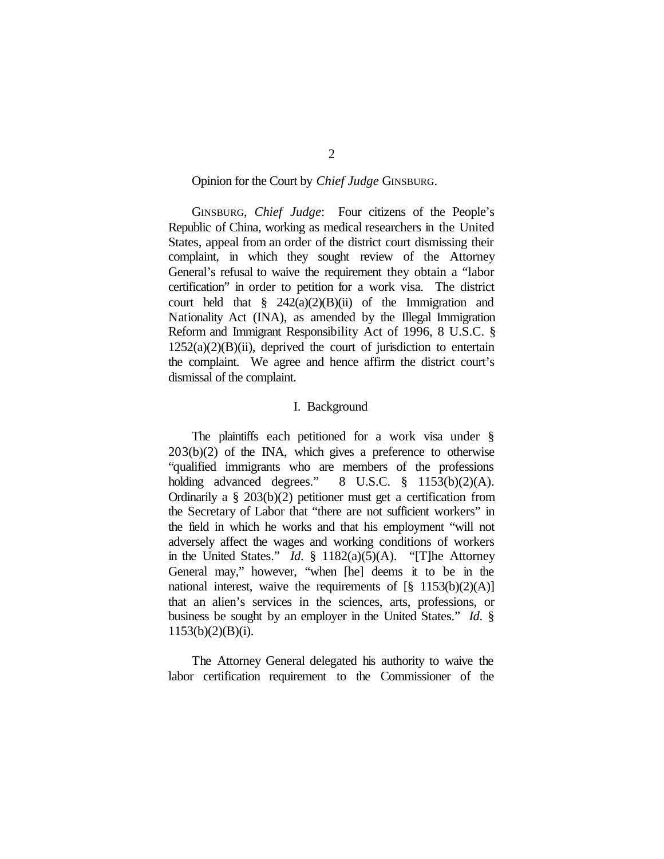### Opinion for the Court by *Chief Judge* GINSBURG.

GINSBURG, *Chief Judge*: Four citizens of the People's Republic of China, working as medical researchers in the United States, appeal from an order of the district court dismissing their complaint, in which they sought review of the Attorney General's refusal to waive the requirement they obtain a "labor certification" in order to petition for a work visa. The district court held that  $\frac{8}{9}$  242(a)(2)(B)(ii) of the Immigration and Nationality Act (INA), as amended by the Illegal Immigration Reform and Immigrant Responsibility Act of 1996, 8 U.S.C. §  $1252(a)(2)(B)(ii)$ , deprived the court of jurisdiction to entertain the complaint. We agree and hence affirm the district court's dismissal of the complaint.

#### I. Background

The plaintiffs each petitioned for a work visa under §  $203(b)(2)$  of the INA, which gives a preference to otherwise "qualified immigrants who are members of the professions holding advanced degrees."  $8 \text{ U.S.C. } \frac{6}{9} \text{ 1153(b)(2)(A).}$ Ordinarily a § 203(b)(2) petitioner must get a certification from the Secretary of Labor that "there are not sufficient workers" in the field in which he works and that his employment "will not adversely affect the wages and working conditions of workers in the United States." *Id.* § 1182(a)(5)(A). "[T]he Attorney General may," however, "when [he] deems it to be in the national interest, waive the requirements of  $[\S 1153(b)(2)(A)]$ that an alien's services in the sciences, arts, professions, or business be sought by an employer in the United States." *Id.* §  $1153(b)(2)(B)(i)$ .

The Attorney General delegated his authority to waive the labor certification requirement to the Commissioner of the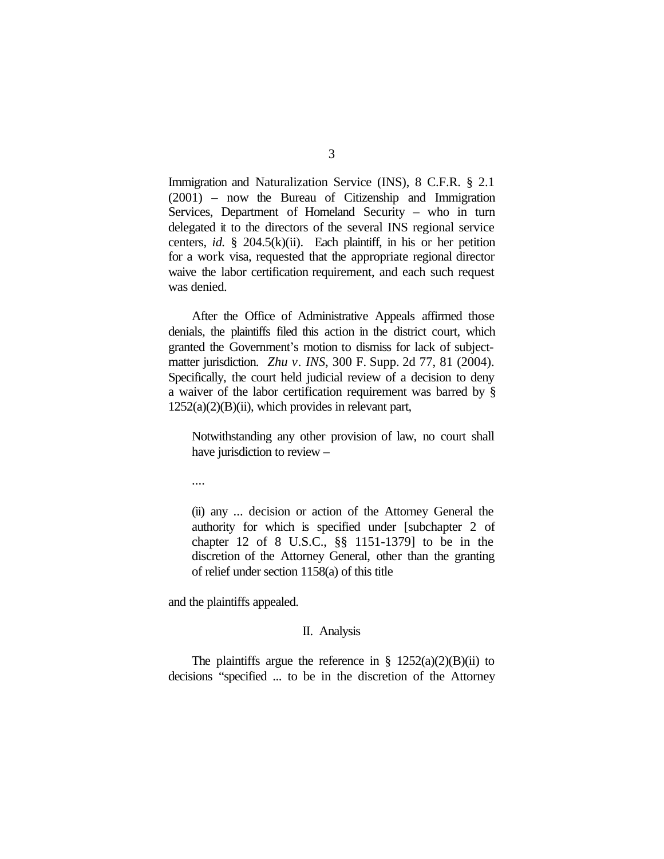Immigration and Naturalization Service (INS), 8 C.F.R. § 2.1 (2001) – now the Bureau of Citizenship and Immigration Services, Department of Homeland Security – who in turn delegated it to the directors of the several INS regional service centers, *id.* § 204.5(k)(ii). Each plaintiff, in his or her petition for a work visa, requested that the appropriate regional director waive the labor certification requirement, and each such request was denied.

After the Office of Administrative Appeals affirmed those denials, the plaintiffs filed this action in the district court, which granted the Government's motion to dismiss for lack of subjectmatter jurisdiction. *Zhu v. INS*, 300 F. Supp. 2d 77, 81 (2004). Specifically, the court held judicial review of a decision to deny a waiver of the labor certification requirement was barred by §  $1252(a)(2)(B)(ii)$ , which provides in relevant part,

Notwithstanding any other provision of law, no court shall have jurisdiction to review –

....

(ii) any ... decision or action of the Attorney General the authority for which is specified under [subchapter 2 of chapter 12 of 8 U.S.C., §§ 1151-1379] to be in the discretion of the Attorney General, other than the granting of relief under section 1158(a) of this title

and the plaintiffs appealed.

#### II. Analysis

The plaintiffs argue the reference in  $\S$  1252(a)(2)(B)(ii) to decisions "specified ... to be in the discretion of the Attorney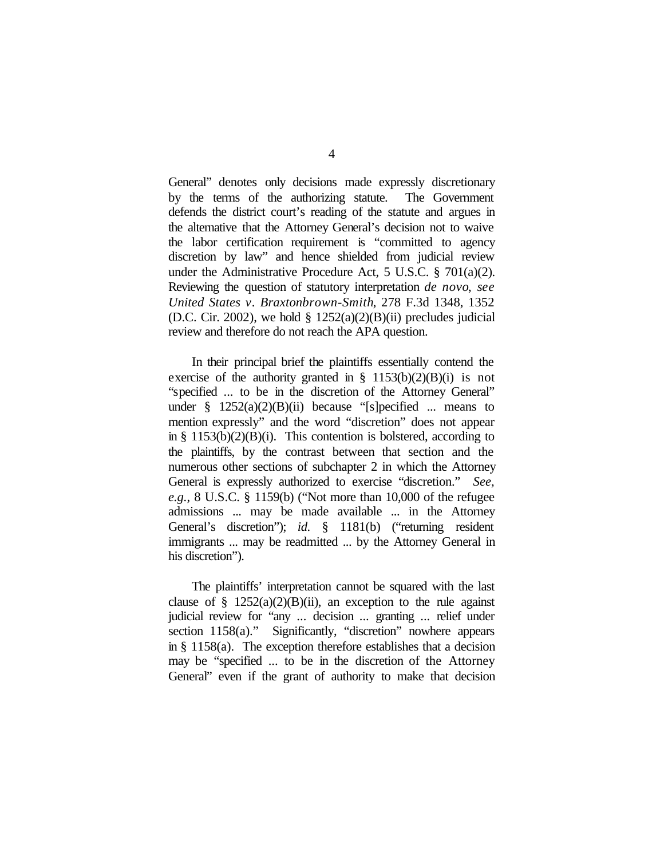General" denotes only decisions made expressly discretionary by the terms of the authorizing statute. The Government defends the district court's reading of the statute and argues in the alternative that the Attorney General's decision not to waive the labor certification requirement is "committed to agency discretion by law" and hence shielded from judicial review under the Administrative Procedure Act, 5 U.S.C. § 701(a)(2). Reviewing the question of statutory interpretation *de novo*, *see United States v. Braxtonbrown-Smith*, 278 F.3d 1348, 1352 (D.C. Cir. 2002), we hold  $\S$  1252(a)(2)(B)(ii) precludes judicial review and therefore do not reach the APA question.

In their principal brief the plaintiffs essentially contend the exercise of the authority granted in  $\S$  1153(b)(2)(B)(i) is not "specified ... to be in the discretion of the Attorney General" under  $\frac{1252(a)(2)(B)(ii)}{b}$  because "[s] pecified ... means to mention expressly" and the word "discretion" does not appear in §  $1153(b)(2)(B)(i)$ . This contention is bolstered, according to the plaintiffs, by the contrast between that section and the numerous other sections of subchapter 2 in which the Attorney General is expressly authorized to exercise "discretion." *See, e.g.*, 8 U.S.C. § 1159(b) ("Not more than 10,000 of the refugee admissions ... may be made available ... in the Attorney General's discretion"); *id.* § 1181(b) ("returning resident immigrants ... may be readmitted ... by the Attorney General in his discretion").

The plaintiffs' interpretation cannot be squared with the last clause of  $\S$  1252(a)(2)(B)(ii), an exception to the rule against judicial review for "any ... decision ... granting ... relief under section 1158(a)." Significantly, "discretion" nowhere appears in § 1158(a). The exception therefore establishes that a decision may be "specified ... to be in the discretion of the Attorney General" even if the grant of authority to make that decision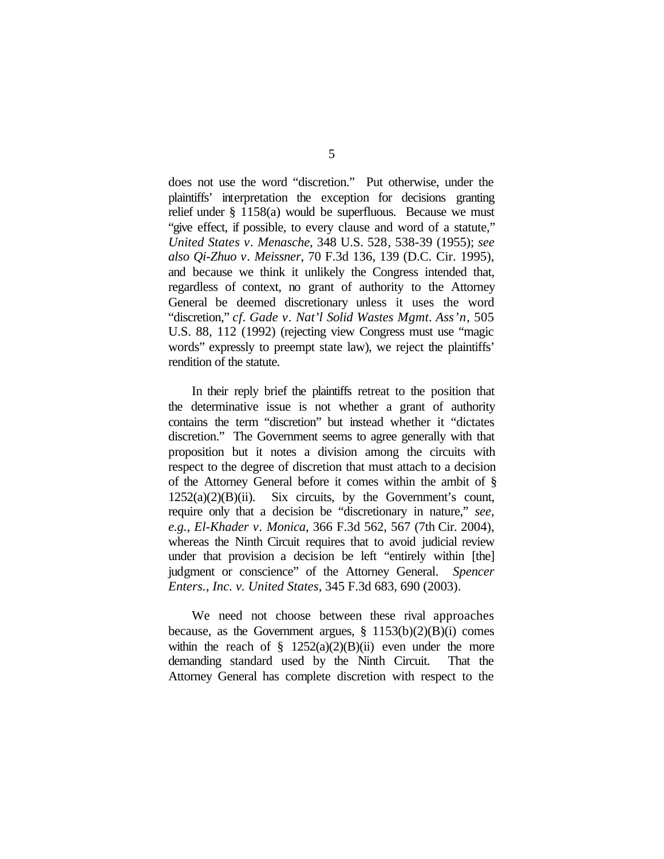does not use the word "discretion." Put otherwise, under the plaintiffs' interpretation the exception for decisions granting relief under § 1158(a) would be superfluous. Because we must "give effect, if possible, to every clause and word of a statute," *United States v. Menasche*, 348 U.S. 528, 538-39 (1955); *see also Qi-Zhuo v. Meissner*, 70 F.3d 136, 139 (D.C. Cir. 1995), and because we think it unlikely the Congress intended that, regardless of context, no grant of authority to the Attorney General be deemed discretionary unless it uses the word "discretion," *cf. Gade v. Nat'l Solid Wastes Mgmt. Ass'n*, 505 U.S. 88, 112 (1992) (rejecting view Congress must use "magic words" expressly to preempt state law), we reject the plaintiffs' rendition of the statute.

In their reply brief the plaintiffs retreat to the position that the determinative issue is not whether a grant of authority contains the term "discretion" but instead whether it "dictates discretion." The Government seems to agree generally with that proposition but it notes a division among the circuits with respect to the degree of discretion that must attach to a decision of the Attorney General before it comes within the ambit of §  $1252(a)(2)(B)(ii)$ . Six circuits, by the Government's count, require only that a decision be "discretionary in nature," *see, e.g.*, *El-Khader v. Monica*, 366 F.3d 562, 567 (7th Cir. 2004), whereas the Ninth Circuit requires that to avoid judicial review under that provision a decision be left "entirely within [the] judgment or conscience" of the Attorney General. *Spencer Enters., Inc. v. United States*, 345 F.3d 683, 690 (2003).

We need not choose between these rival approaches because, as the Government argues,  $\S 1153(b)(2)(B)(i)$  comes within the reach of  $\S$  1252(a)(2)(B)(ii) even under the more demanding standard used by the Ninth Circuit. That the Attorney General has complete discretion with respect to the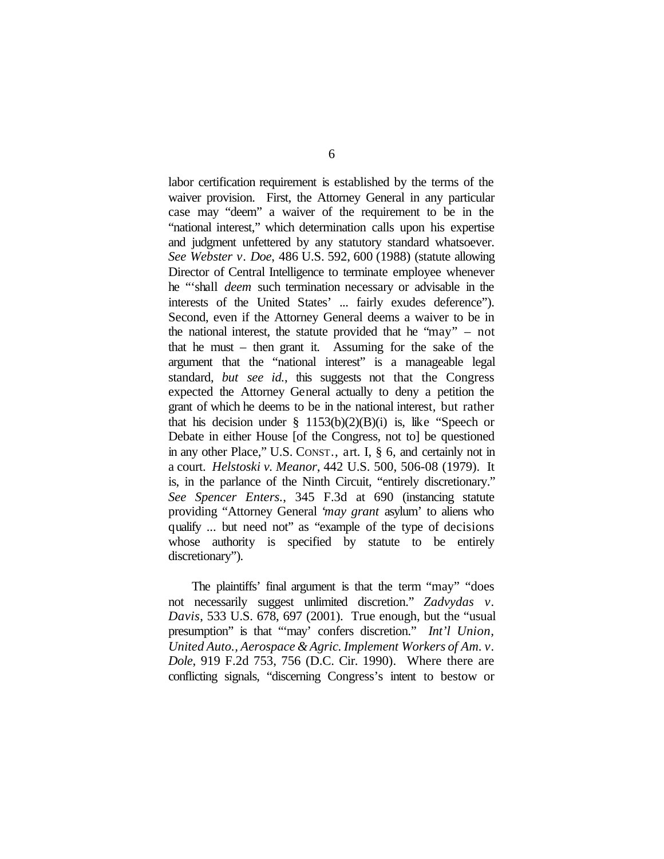labor certification requirement is established by the terms of the waiver provision. First, the Attorney General in any particular case may "deem" a waiver of the requirement to be in the "national interest," which determination calls upon his expertise and judgment unfettered by any statutory standard whatsoever. *See Webster v. Doe*, 486 U.S. 592, 600 (1988) (statute allowing Director of Central Intelligence to terminate employee whenever he "'shall *deem* such termination necessary or advisable in the interests of the United States' ... fairly exudes deference"). Second, even if the Attorney General deems a waiver to be in the national interest, the statute provided that he "may" – not that he must – then grant it. Assuming for the sake of the argument that the "national interest" is a manageable legal standard, *but see id.*, this suggests not that the Congress expected the Attorney General actually to deny a petition the grant of which he deems to be in the national interest, but rather that his decision under  $\S$  1153(b)(2)(B)(i) is, like "Speech or Debate in either House [of the Congress, not to] be questioned in any other Place," U.S. CONST., art. I, § 6, and certainly not in a court. *Helstoski v. Meanor*, 442 U.S. 500, 506-08 (1979). It is, in the parlance of the Ninth Circuit, "entirely discretionary." *See Spencer Enters.*, 345 F.3d at 690 (instancing statute providing "Attorney General '*may grant* asylum' to aliens who qualify ... but need not" as "example of the type of decisions" whose authority is specified by statute to be entirely discretionary").

The plaintiffs' final argument is that the term "may" "does not necessarily suggest unlimited discretion." *Zadvydas v. Davis*, 533 U.S. 678, 697 (2001). True enough, but the "usual presumption" is that "'may' confers discretion." *Int'l Union, United Auto., Aerospace & Agric. Implement Workers of Am. v. Dole*, 919 F.2d 753, 756 (D.C. Cir. 1990). Where there are conflicting signals, "discerning Congress's intent to bestow or